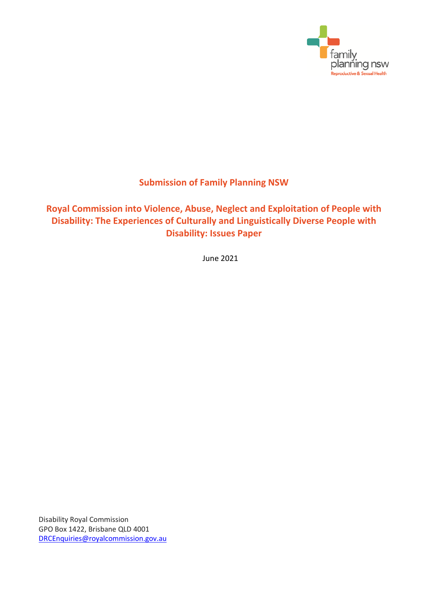

# **Submission of Family Planning NSW**

# **Royal Commission into Violence, Abuse, Neglect and Exploitation of People with Disability: The Experiences of Culturally and Linguistically Diverse People with Disability: Issues Paper**

June 2021

Disability Royal Commission GPO Box 1422, Brisbane QLD 4001 [DRCEnquiries@royalcommission.gov.au](mailto:DRCEnquiries@royalcommission.gov.au)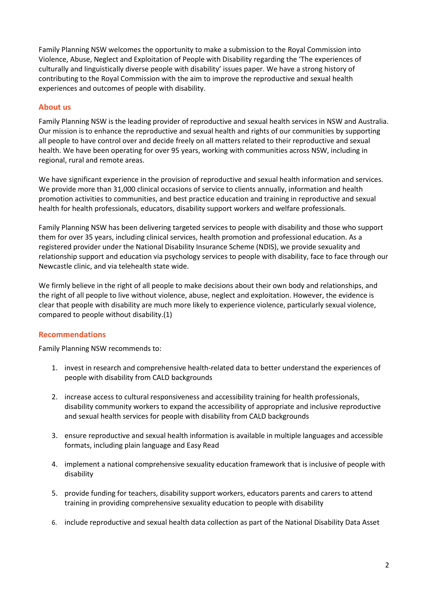Family Planning NSW welcomes the opportunity to make a submission to the Royal Commission into Violence, Abuse, Neglect and Exploitation of People with Disability regarding the 'The experiences of culturally and linguistically diverse people with disability' issues paper. We have a strong history of contributing to the Royal Commission with the aim to improve the reproductive and sexual health experiences and outcomes of people with disability.

## **About us**

Family Planning NSW is the leading provider of reproductive and sexual health services in NSW and Australia. Our mission is to enhance the reproductive and sexual health and rights of our communities by supporting all people to have control over and decide freely on all matters related to their reproductive and sexual health. We have been operating for over 95 years, working with communities across NSW, including in regional, rural and remote areas.

We have significant experience in the provision of reproductive and sexual health information and services. We provide more than 31,000 clinical occasions of service to clients annually, information and health promotion activities to communities, and best practice education and training in reproductive and sexual health for health professionals, educators, disability support workers and welfare professionals.

Family Planning NSW has been delivering targeted services to people with disability and those who support them for over 35 years, including clinical services, health promotion and professional education. As a registered provider under the National Disability Insurance Scheme (NDIS), we provide sexuality and relationship support and education via psychology services to people with disability, face to face through our Newcastle clinic, and via telehealth state wide.

We firmly believe in the right of all people to make decisions about their own body and relationships, and the right of all people to live without violence, abuse, neglect and exploitation. However, the evidence is clear that people with disability are much more likely to experience violence, particularly sexual violence, compared to people without disability.(1)

# **Recommendations**

Family Planning NSW recommends to:

- 1. invest in research and comprehensive health-related data to better understand the experiences of people with disability from CALD backgrounds
- 2. increase access to cultural responsiveness and accessibility training for health professionals, disability community workers to expand the accessibility of appropriate and inclusive reproductive and sexual health services for people with disability from CALD backgrounds
- 3. ensure reproductive and sexual health information is available in multiple languages and accessible formats, including plain language and Easy Read
- 4. implement a national comprehensive sexuality education framework that is inclusive of people with disability
- 5. provide funding for teachers, disability support workers, educators parents and carers to attend training in providing comprehensive sexuality education to people with disability
- 6. include reproductive and sexual health data collection as part of the National Disability Data Asset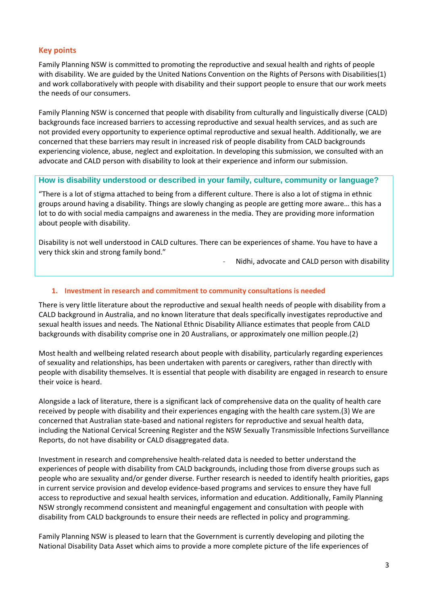## **Key points**

Family Planning NSW is committed to promoting the reproductive and sexual health and rights of people with disability. We are guided by the United Nations Convention on the Rights of Persons with Disabilities(1) and work collaboratively with people with disability and their support people to ensure that our work meets the needs of our consumers.

Family Planning NSW is concerned that people with disability from culturally and linguistically diverse (CALD) backgrounds face increased barriers to accessing reproductive and sexual health services, and as such are not provided every opportunity to experience optimal reproductive and sexual health. Additionally, we are concerned that these barriers may result in increased risk of people disability from CALD backgrounds experiencing violence, abuse, neglect and exploitation. In developing this submission, we consulted with an advocate and CALD person with disability to look at their experience and inform our submission.

### **How is disability understood or described in your family, culture, community or language?**

"There is a lot of stigma attached to being from a different culture. There is also a lot of stigma in ethnic groups around having a disability. Things are slowly changing as people are getting more aware… this has a lot to do with social media campaigns and awareness in the media. They are providing more information about people with disability.

Disability is not well understood in CALD cultures. There can be experiences of shame. You have to have a very thick skin and strong family bond."

Nidhi, advocate and CALD person with disability

#### **1. Investment in research and commitment to community consultations is needed**

There is very little literature about the reproductive and sexual health needs of people with disability from a CALD background in Australia, and no known literature that deals specifically investigates reproductive and sexual health issues and needs. The National Ethnic Disability Alliance estimates that people from CALD backgrounds with disability comprise one in 20 Australians, or approximately one million people.(2)

Most health and wellbeing related research about people with disability, particularly regarding experiences of sexuality and relationships, has been undertaken with parents or caregivers, rather than directly with people with disability themselves. It is essential that people with disability are engaged in research to ensure their voice is heard.

Alongside a lack of literature, there is a significant lack of comprehensive data on the quality of health care received by people with disability and their experiences engaging with the health care system.(3) We are concerned that Australian state-based and national registers for reproductive and sexual health data, including the National Cervical Screening Register and the NSW Sexually Transmissible Infections Surveillance Reports, do not have disability or CALD disaggregated data.

Investment in research and comprehensive health-related data is needed to better understand the experiences of people with disability from CALD backgrounds, including those from diverse groups such as people who are sexuality and/or gender diverse. Further research is needed to identify health priorities, gaps in current service provision and develop evidence-based programs and services to ensure they have full access to reproductive and sexual health services, information and education. Additionally, Family Planning NSW strongly recommend consistent and meaningful engagement and consultation with people with disability from CALD backgrounds to ensure their needs are reflected in policy and programming.

Family Planning NSW is pleased to learn that the Government is currently developing and piloting the National Disability Data Asset which aims to provide a more complete picture of the life experiences of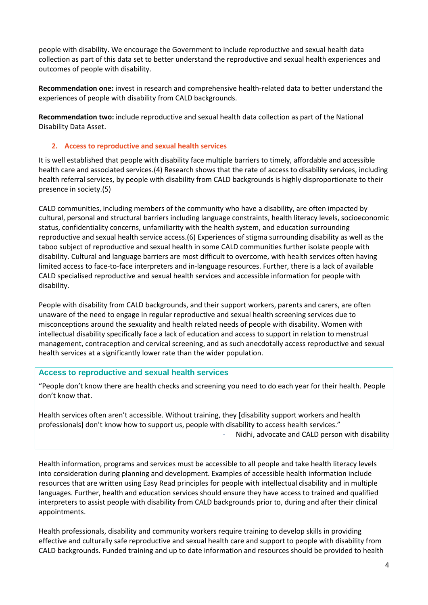people with disability. We encourage the Government to include reproductive and sexual health data collection as part of this data set to better understand the reproductive and sexual health experiences and outcomes of people with disability.

**Recommendation one:** invest in research and comprehensive health-related data to better understand the experiences of people with disability from CALD backgrounds.

**Recommendation two:** include reproductive and sexual health data collection as part of the National Disability Data Asset.

### **2. Access to reproductive and sexual health services**

It is well established that people with disability face multiple barriers to timely, affordable and accessible health care and associated services.(4) Research shows that the rate of access to disability services, including health referral services, by people with disability from CALD backgrounds is highly disproportionate to their presence in society.(5)

CALD communities, including members of the community who have a disability, are often impacted by cultural, personal and structural barriers including language constraints, health literacy levels, socioeconomic status, confidentiality concerns, unfamiliarity with the health system, and education surrounding reproductive and sexual health service access.(6) Experiences of stigma surrounding disability as well as the taboo subject of reproductive and sexual health in some CALD communities further isolate people with disability. Cultural and language barriers are most difficult to overcome, with health services often having limited access to face-to-face interpreters and in-language resources. Further, there is a lack of available CALD specialised reproductive and sexual health services and accessible information for people with disability.

People with disability from CALD backgrounds, and their support workers, parents and carers, are often unaware of the need to engage in regular reproductive and sexual health screening services due to misconceptions around the sexuality and health related needs of people with disability. Women with intellectual disability specifically face a lack of education and access to support in relation to menstrual management, contraception and cervical screening, and as such anecdotally access reproductive and sexual health services at a significantly lower rate than the wider population.

#### **Access to reproductive and sexual health services**

"People don't know there are health checks and screening you need to do each year for their health. People don't know that.

Health services often aren't accessible. Without training, they [disability support workers and health professionals] don't know how to support us, people with disability to access health services." Nidhi, advocate and CALD person with disability

Health information, programs and services must be accessible to all people and take health literacy levels into consideration during planning and development. Examples of accessible health information include resources that are written using Easy Read principles for people with intellectual disability and in multiple languages. Further, health and education services should ensure they have access to trained and qualified interpreters to assist people with disability from CALD backgrounds prior to, during and after their clinical appointments.

Health professionals, disability and community workers require training to develop skills in providing effective and culturally safe reproductive and sexual health care and support to people with disability from CALD backgrounds. Funded training and up to date information and resources should be provided to health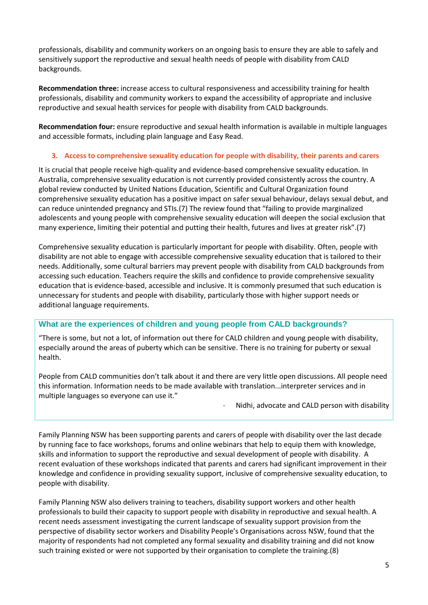professionals, disability and community workers on an ongoing basis to ensure they are able to safely and sensitively support the reproductive and sexual health needs of people with disability from CALD backgrounds.

**Recommendation three:** increase access to cultural responsiveness and accessibility training for health professionals, disability and community workers to expand the accessibility of appropriate and inclusive reproductive and sexual health services for people with disability from CALD backgrounds.

**Recommendation four:** ensure reproductive and sexual health information is available in multiple languages and accessible formats, including plain language and Easy Read.

## **3. Access to comprehensive sexuality education for people with disability, their parents and carers**

It is crucial that people receive high-quality and evidence-based comprehensive sexuality education. In Australia, comprehensive sexuality education is not currently provided consistently across the country. A global review conducted by United Nations Education, Scientific and Cultural Organization found comprehensive sexuality education has a positive impact on safer sexual behaviour, delays sexual debut, and can reduce unintended pregnancy and STIs.(7) The review found that "failing to provide marginalized adolescents and young people with comprehensive sexuality education will deepen the social exclusion that many experience, limiting their potential and putting their health, futures and lives at greater risk".(7)

Comprehensive sexuality education is particularly important for people with disability. Often, people with disability are not able to engage with accessible comprehensive sexuality education that is tailored to their needs. Additionally, some cultural barriers may prevent people with disability from CALD backgrounds from accessing such education. Teachers require the skills and confidence to provide comprehensive sexuality education that is evidence-based, accessible and inclusive. It is commonly presumed that such education is unnecessary for students and people with disability, particularly those with higher support needs or additional language requirements.

### **What are the experiences of children and young people from CALD backgrounds?**

"There is some, but not a lot, of information out there for CALD children and young people with disability, especially around the areas of puberty which can be sensitive. There is no training for puberty or sexual health.

People from CALD communities don't talk about it and there are very little open discussions. All people need this information. Information needs to be made available with translation...interpreter services and in multiple languages so everyone can use it."

Nidhi, advocate and CALD person with disability

Family Planning NSW has been supporting parents and carers of people with disability over the last decade by running face to face workshops, forums and online webinars that help to equip them with knowledge, skills and information to support the reproductive and sexual development of people with disability. A recent evaluation of these workshops indicated that parents and carers had significant improvement in their knowledge and confidence in providing sexuality support, inclusive of comprehensive sexuality education, to people with disability.

Family Planning NSW also delivers training to teachers, disability support workers and other health professionals to build their capacity to support people with disability in reproductive and sexual health. A recent needs assessment investigating the current landscape of sexuality support provision from the perspective of disability sector workers and Disability People's Organisations across NSW, found that the majority of respondents had not completed any formal sexuality and disability training and did not know such training existed or were not supported by their organisation to complete the training.(8)